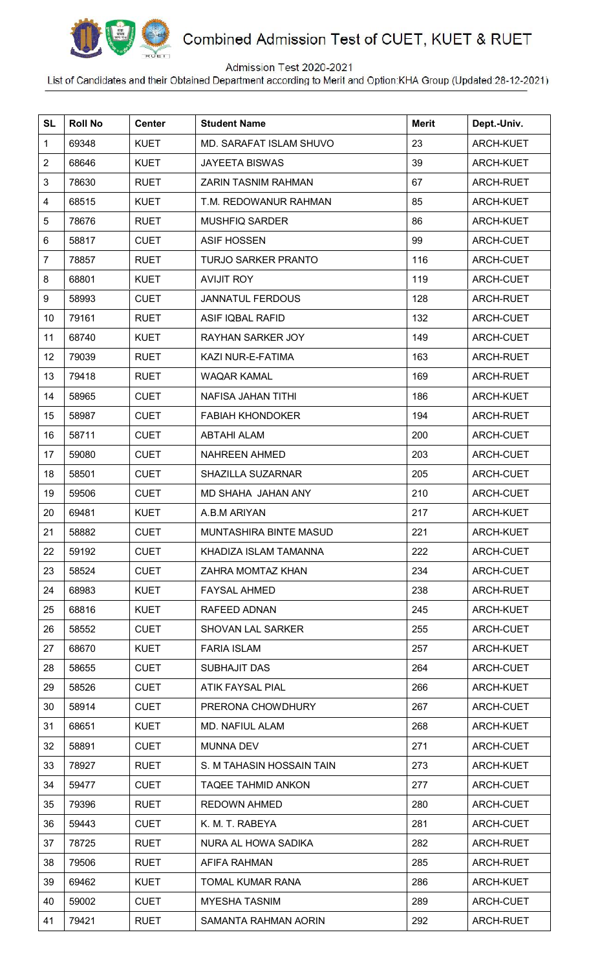

## Combined Admission Test of CUET, KUET & RUET

## Admission Test 2020-2021

List of Candidates and their Obtained Department according to Merit and Option KHA Group (Updated:28-12-2021)

| <b>SL</b>      | <b>Roll No</b> | <b>Center</b> | <b>Student Name</b>           | <b>Merit</b> | Dept.-Univ.      |
|----------------|----------------|---------------|-------------------------------|--------------|------------------|
| 1              | 69348          | <b>KUET</b>   | MD. SARAFAT ISLAM SHUVO       | 23           | ARCH-KUET        |
| $\overline{2}$ | 68646          | <b>KUET</b>   | <b>JAYEETA BISWAS</b>         | 39           | <b>ARCH-KUET</b> |
| 3              | 78630          | <b>RUET</b>   | <b>ZARIN TASNIM RAHMAN</b>    | 67           | ARCH-RUET        |
| 4              | 68515          | <b>KUET</b>   | T.M. REDOWANUR RAHMAN         | 85           | <b>ARCH-KUET</b> |
| 5              | 78676          | <b>RUET</b>   | <b>MUSHFIQ SARDER</b>         | 86           | <b>ARCH-KUET</b> |
| 6              | 58817          | <b>CUET</b>   | <b>ASIF HOSSEN</b>            | 99           | ARCH-CUET        |
| 7              | 78857          | <b>RUET</b>   | <b>TURJO SARKER PRANTO</b>    | 116          | ARCH-CUET        |
| 8              | 68801          | <b>KUET</b>   | <b>AVIJIT ROY</b>             | 119          | ARCH-CUET        |
| 9              | 58993          | <b>CUET</b>   | <b>JANNATUL FERDOUS</b>       | 128          | ARCH-RUET        |
| 10             | 79161          | <b>RUET</b>   | <b>ASIF IQBAL RAFID</b>       | 132          | ARCH-CUET        |
| 11             | 68740          | <b>KUET</b>   | RAYHAN SARKER JOY             | 149          | ARCH-CUET        |
| 12             | 79039          | <b>RUET</b>   | KAZI NUR-E-FATIMA             | 163          | ARCH-RUET        |
| 13             | 79418          | <b>RUET</b>   | <b>WAQAR KAMAL</b>            | 169          | ARCH-RUET        |
| 14             | 58965          | <b>CUET</b>   | NAFISA JAHAN TITHI            | 186          | <b>ARCH-KUET</b> |
| 15             | 58987          | <b>CUET</b>   | <b>FABIAH KHONDOKER</b>       | 194          | ARCH-RUET        |
| 16             | 58711          | <b>CUET</b>   | <b>ABTAHI ALAM</b>            | 200          | ARCH-CUET        |
| 17             | 59080          | <b>CUET</b>   | <b>NAHREEN AHMED</b>          | 203          | ARCH-CUET        |
| 18             | 58501          | <b>CUET</b>   | <b>SHAZILLA SUZARNAR</b>      | 205          | ARCH-CUET        |
| 19             | 59506          | <b>CUET</b>   | MD SHAHA JAHAN ANY            | 210          | ARCH-CUET        |
| 20             | 69481          | <b>KUET</b>   | A.B.M ARIYAN                  | 217          | <b>ARCH-KUET</b> |
| 21             | 58882          | <b>CUET</b>   | <b>MUNTASHIRA BINTE MASUD</b> | 221          | <b>ARCH-KUET</b> |
| 22             | 59192          | <b>CUET</b>   | KHADIZA ISLAM TAMANNA         | 222          | <b>ARCH-CUET</b> |
| 23             | 58524          | <b>CUET</b>   | ZAHRA MOMTAZ KHAN             | 234          | ARCH-CUET        |
| 24             | 68983          | <b>KUET</b>   | <b>FAYSAL AHMED</b>           | 238          | ARCH-RUET        |
| 25             | 68816          | <b>KUET</b>   | RAFEED ADNAN                  | 245          | <b>ARCH-KUET</b> |
| 26             | 58552          | <b>CUET</b>   | <b>SHOVAN LAL SARKER</b>      | 255          | ARCH-CUET        |
| 27             | 68670          | <b>KUET</b>   | <b>FARIA ISLAM</b>            | 257          | ARCH-KUET        |
| 28             | 58655          | <b>CUET</b>   | SUBHAJIT DAS                  | 264          | ARCH-CUET        |
| 29             | 58526          | <b>CUET</b>   | <b>ATIK FAYSAL PIAL</b>       | 266          | ARCH-KUET        |
| 30             | 58914          | <b>CUET</b>   | PRERONA CHOWDHURY             | 267          | ARCH-CUET        |
| 31             | 68651          | <b>KUET</b>   | MD. NAFIUL ALAM               | 268          | ARCH-KUET        |
| 32             | 58891          | <b>CUET</b>   | <b>MUNNA DEV</b>              | 271          | ARCH-CUET        |
| 33             | 78927          | <b>RUET</b>   | S. M TAHASIN HOSSAIN TAIN     | 273          | <b>ARCH-KUET</b> |
| 34             | 59477          | <b>CUET</b>   | <b>TAQEE TAHMID ANKON</b>     | 277          | ARCH-CUET        |
| 35             | 79396          | <b>RUET</b>   | <b>REDOWN AHMED</b>           | 280          | ARCH-CUET        |
| 36             | 59443          | <b>CUET</b>   | K. M. T. RABEYA               | 281          | ARCH-CUET        |
| 37             | 78725          | <b>RUET</b>   | NURA AL HOWA SADIKA           | 282          | ARCH-RUET        |
| 38             | 79506          | <b>RUET</b>   | AFIFA RAHMAN                  | 285          | ARCH-RUET        |
| 39             | 69462          | <b>KUET</b>   | TOMAL KUMAR RANA              | 286          | ARCH-KUET        |
| 40             | 59002          | <b>CUET</b>   | <b>MYESHA TASNIM</b>          | 289          | ARCH-CUET        |
| 41             | 79421          | <b>RUET</b>   | SAMANTA RAHMAN AORIN          | 292          | ARCH-RUET        |